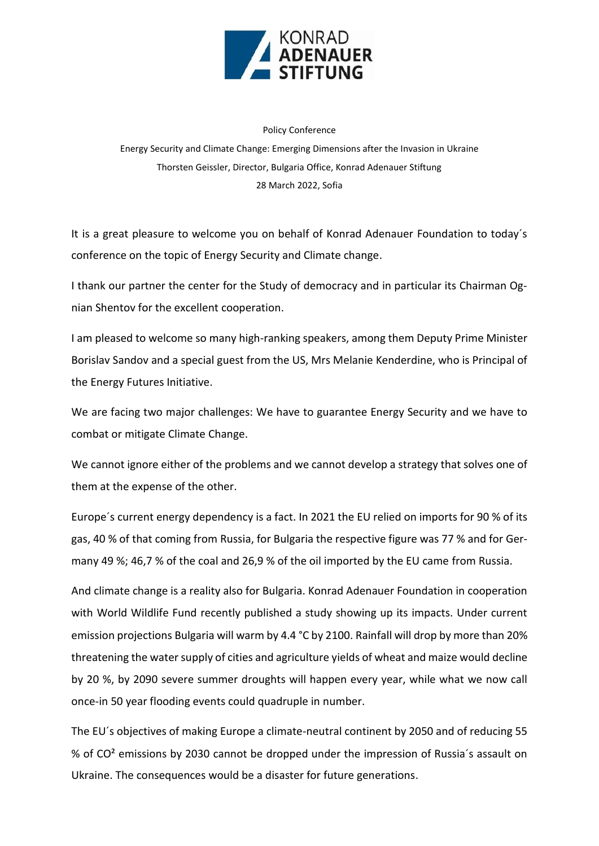

## Policy Conference

Energy Security and Climate Change: Emerging Dimensions after the Invasion in Ukraine Thorsten Geissler, Director, Bulgaria Office, Konrad Adenauer Stiftung 28 March 2022, Sofia

It is a great pleasure to welcome you on behalf of Konrad Adenauer Foundation to today´s conference on the topic of Energy Security and Climate change.

I thank our partner the center for the Study of democracy and in particular its Chairman Ognian Shentov for the excellent cooperation.

I am pleased to welcome so many high-ranking speakers, among them Deputy Prime Minister Borislav Sandov and a special guest from the US, Mrs Melanie Kenderdine, who is Principal of the Energy Futures Initiative.

We are facing two major challenges: We have to guarantee Energy Security and we have to combat or mitigate Climate Change.

We cannot ignore either of the problems and we cannot develop a strategy that solves one of them at the expense of the other.

Europe´s current energy dependency is a fact. In 2021 the EU relied on imports for 90 % of its gas, 40 % of that coming from Russia, for Bulgaria the respective figure was 77 % and for Germany 49 %; 46,7 % of the coal and 26,9 % of the oil imported by the EU came from Russia.

And climate change is a reality also for Bulgaria. Konrad Adenauer Foundation in cooperation with World Wildlife Fund recently published a study showing up its impacts. Under current emission projections Bulgaria will warm by 4.4 °C by 2100. Rainfall will drop by more than 20% threatening the water supply of cities and agriculture yields of wheat and maize would decline by 20 %, by 2090 severe summer droughts will happen every year, while what we now call once-in 50 year flooding events could quadruple in number.

The EU´s objectives of making Europe a climate-neutral continent by 2050 and of reducing 55 % of CO² emissions by 2030 cannot be dropped under the impression of Russia´s assault on Ukraine. The consequences would be a disaster for future generations.